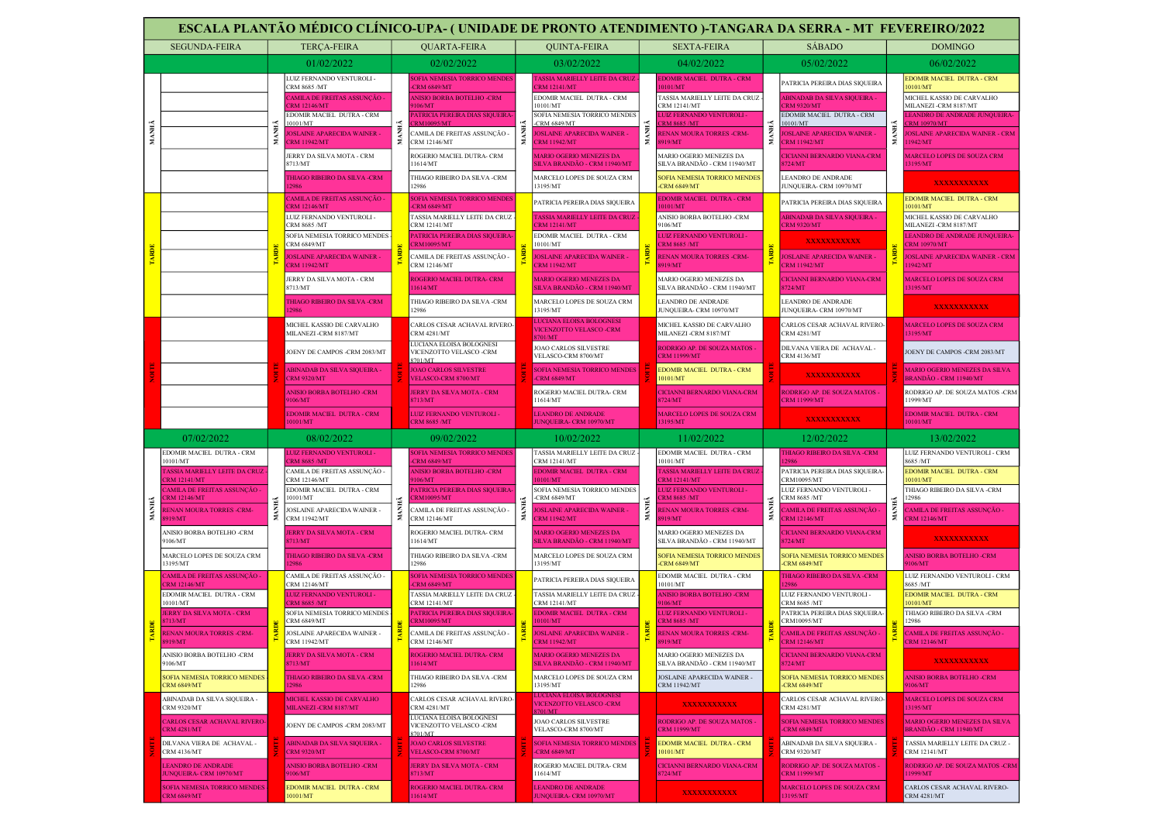|       | ESCALA PLANTÃO MÉDICO CLÍNICO-UPA- (UNIDADE DE PRONTO ATENDIMENTO )-TANGARA DA SERRA - MT FEVEREIRO/2022 |             |                                                          |                                             |                                                                   |                                                                                                    |                                                                                                                       |                                                                   |                                                             |                                                           |                                                                |                                                                           |                                                            |
|-------|----------------------------------------------------------------------------------------------------------|-------------|----------------------------------------------------------|---------------------------------------------|-------------------------------------------------------------------|----------------------------------------------------------------------------------------------------|-----------------------------------------------------------------------------------------------------------------------|-------------------------------------------------------------------|-------------------------------------------------------------|-----------------------------------------------------------|----------------------------------------------------------------|---------------------------------------------------------------------------|------------------------------------------------------------|
|       | <b>SEGUNDA-FEIRA</b>                                                                                     |             | <b>TERÇA-FEIRA</b>                                       |                                             | <b>QUARTA-FEIRA</b>                                               |                                                                                                    | <b>QUINTA-FEIRA</b>                                                                                                   |                                                                   | <b>SEXTA-FEIRA</b>                                          |                                                           | SÁBADO                                                         |                                                                           | <b>DOMINGO</b>                                             |
|       |                                                                                                          |             | 01/02/2022                                               |                                             | 02/02/2022                                                        |                                                                                                    | 03/02/2022                                                                                                            |                                                                   | 04/02/2022                                                  |                                                           | 05/02/2022                                                     |                                                                           | 06/02/2022                                                 |
|       |                                                                                                          |             | LUIZ FERNANDO VENTUROLI -<br>CRM 8685 /MT                |                                             | <b>OFIA NEMESIA TORRICO MENDE</b><br><b>CRM 6849/MT</b>           |                                                                                                    | ASSIA MARIELLY LEITE DA CRUZ<br><b>RM 12141/MT</b>                                                                    |                                                                   | <b>EDOMIR MACIEL DUTRA - CRM</b><br>0101/MT                 |                                                           | PATRICIA PEREIRA DIAS SIQUEIRA                                 |                                                                           | <b>EDOMIR MACIEL DUTRA - CRM</b><br>0101/MT                |
|       |                                                                                                          |             | AMILA DE FREITAS ASSUNÇÃO ·<br>RM 12146/MT               |                                             | <b>NISIO BORBA BOTELHO -CRM</b><br>106/MT                         |                                                                                                    | EDOMIR MACIEL DUTRA - CRM<br>10101/MT                                                                                 |                                                                   | TASSIA MARIELLY LEITE DA CRUZ<br>CRM 12141/MT               |                                                           | <b>BINADAB DA SILVA SIQUEIRA -</b><br><b>RM 9320/MT</b>        |                                                                           | MICHEL KASSIO DE CARVALHO<br>MILANEZI-CRM 8187/MT          |
|       |                                                                                                          |             | EDOMIR MACIEL DUTRA - CRM<br>10101/MT                    |                                             | ATRICIA PEREIRA DIAS SIQUEIRA<br><b>RM10095/MT</b>                |                                                                                                    | SOFIA NEMESIA TORRICO MENDES<br>-CRM $6849/MT$                                                                        |                                                                   | UIZ FERNANDO VENTUROLI -<br><b>RM 8685 /MT</b>              |                                                           | EDOMIR MACIEL DUTRA - CRM<br>10101/MT                          |                                                                           | <b>EANDRO DE ANDRADE JUNQUEIRA-</b><br><b>CRM 10970/MT</b> |
| MANHÃ |                                                                                                          | <b>MANH</b> | <b>DSLAINE APARECIDA WAINER</b><br>RM 11942/MT           |                                             | :AMILA DE FREITAS ASSUNÇÃO -<br><b>RM 12146/MT</b>                | MANH                                                                                               | <b>OSLAINE APARECIDA WAINER -</b><br><b>RM 11942/MT</b>                                                               | <b>MANH</b>                                                       | <b>LENAN MOURA TORRES -CRM-</b><br>919/MT                   | <b>MANH</b>                                               | <b>OSLAINE APARECIDA WAINER -</b><br><b>RM 11942/MT</b>        |                                                                           | <b>JOSLAINE APARECIDA WAINER - CRM</b><br>1942/MT          |
|       |                                                                                                          |             | JERRY DA SILVA MOTA - CRM<br>8713/MT                     |                                             | <b>ROGERIO MACIEL DUTRA- CRM</b><br>1614/MT                       |                                                                                                    | <b>IARIO OGERIO MENEZES DA</b><br>ILVA BRANDÃO - CRM 11940/MT                                                         |                                                                   | MARIO OGERIO MENEZES DA<br>SILVA BRANDÃO - CRM 11940/MT     |                                                           | <b>ICIANNI BERNARDO VIANA-CRM</b><br>724/MT                    |                                                                           | <b>AARCELO LOPES DE SOUZA CRM</b><br>3195/MT               |
|       |                                                                                                          |             | <b>THIAGO RIBEIRO DA SILVA -CRM</b><br>2986              |                                             | THIAGO RIBEIRO DA SILVA -CRM<br>2986                              |                                                                                                    | MARCELO LOPES DE SOUZA CRM<br>13195/MT                                                                                |                                                                   | <b>SOFIA NEMESIA TORRICO MENDES</b><br>-CRM 6849/MT         |                                                           | LEANDRO DE ANDRADE<br>UNQUEIRA- CRM 10970/MT                   |                                                                           | <b>XXXXXXXXXX</b>                                          |
|       |                                                                                                          |             | AMILA DE FREITAS ASSUNÇÃO :<br><b>RM 12146/MT</b>        |                                             | <b>SOFIA NEMESIA TORRICO MENDE</b><br><b>CRM 6849/MT</b>          |                                                                                                    | PATRICIA PEREIRA DIAS SIQUEIRA                                                                                        |                                                                   | <b>EDOMIR MACIEL DUTRA - CRM</b><br>10101/MT                |                                                           | PATRICIA PEREIRA DIAS SIQUEIRA                                 |                                                                           | EDOMIR MACIEL DUTRA - CRM<br>10101/MT                      |
|       |                                                                                                          |             | LUIZ FERNANDO VENTUROLI -<br>CRM 8685 /MT                |                                             | TASSIA MARIELLY LEITE DA CRUZ<br>CRM 12141/MT                     |                                                                                                    | ASSIA MARIELLY LEITE DA CRUZ<br><b>RM 12141/MT</b>                                                                    |                                                                   | ANISIO BORBA BOTELHO -CRM<br>9106/MT                        |                                                           | ABINADAB DA SILVA SIQUEIRA -<br><b>RM 9320/MT</b>              |                                                                           | MICHEL KASSIO DE CARVALHO<br>MILANEZI-CRM 8187/MT          |
|       |                                                                                                          |             | SOFIA NEMESIA TORRICO MENDES<br><b>CRM 6849/MT</b>       |                                             | <b>ATRICIA PEREIRA DIAS SIQUEIRA</b>                              | EDOMIR MACIEL DUTRA - CRM<br>10101/MT<br><b>OSLAINE APARECIDA WAINER -</b><br><b>RM 11942/MT</b>   |                                                                                                                       |                                                                   | <b>LUIZ FERNANDO VENTUROLI -</b>                            |                                                           | <b>XXXXXXXXXXX</b>                                             |                                                                           | <b>LEANDRO DE ANDRADE JUNQUEIRA-</b>                       |
|       |                                                                                                          |             | <b>IOSLAINE APARECIDA WAINER</b><br>RM 11942/MT          |                                             | <b>RM10095/MT</b><br>CAMILA DE FREITAS ASSUNÇÃO -<br>CRM 12146/MT |                                                                                                    |                                                                                                                       | <b>CRM 8685 /MT</b><br><b>RENAN MOURA TORRES -CRM-</b><br>3919/MT |                                                             | <b>JOSLAINE APARECIDA WAINER -</b><br><b>CRM 11942/MT</b> | 質                                                              | <b>CRM 10970/MT</b><br><b>JOSLAINE APARECIDA WAINER - CRM</b><br>11942/MT |                                                            |
|       |                                                                                                          |             | JERRY DA SILVA MOTA - CRM<br>8713/MT                     |                                             | ROGERIO MACIEL DUTRA- CRM<br>1614/MT                              |                                                                                                    | <b>AARIO OGERIO MENEZES DA</b><br>ILVA BRANDÃO - CRM 11940/MT                                                         |                                                                   | MARIO OGERIO MENEZES DA<br>SILVA BRANDÃO - CRM 11940/MT     |                                                           | <b>CICIANNI BERNARDO VIANA-CRM</b><br>724/MT                   |                                                                           | <b>MARCELO LOPES DE SOUZA CRM</b><br>13195/MT              |
|       |                                                                                                          |             | <b>THIAGO RIBEIRO DA SILVA -CRM</b><br>2986              |                                             | THIAGO RIBEIRO DA SILVA -CRM<br>12986                             |                                                                                                    | MARCELO LOPES DE SOUZA CRM<br>13195/MT                                                                                |                                                                   | LEANDRO DE ANDRADE<br>JUNQUEIRA- CRM 10970/MT               |                                                           | LEANDRO DE ANDRADE<br>UNQUEIRA- CRM 10970/MT                   |                                                                           | <b>XXXXXXXXXX</b>                                          |
|       |                                                                                                          |             | MICHEL KASSIO DE CARVALHO<br>MILANEZI -CRM 8187/MT       |                                             | CARLOS CESAR ACHAVAL RIVERO-<br><b>CRM 4281/MT</b>                |                                                                                                    | LUCIANA ELOISA BOLOGNESI<br><b>VICENZOTTO VELASCO -CRM</b><br>8701/MT<br>JOAO CARLOS SILVESTRE<br>VELASCO-CRM 8700/MT | MICHEL KASSIO DE CARVALHO<br>MILANEZI-CRM 8187/MT                 |                                                             | CARLOS CESAR ACHAVAL RIVERO-<br><b>CRM 4281/MT</b>        |                                                                | MARCELO LOPES DE SOUZA CRM<br>13195/MT                                    |                                                            |
|       |                                                                                                          |             | JOENY DE CAMPOS -CRM 2083/MT                             |                                             | LUCIANA ELOISA BOLOGNESI<br>VICENZOTTO VELASCO -CRM<br>8701/MT    |                                                                                                    |                                                                                                                       | RODRIGO AP. DE SOUZA MATOS<br><b>CRM 11999/MT</b>                 |                                                             | DILVANA VIERA DE ACHAVAL -<br>CRM 4136/MT                 |                                                                | JOENY DE CAMPOS -CRM 2083/MT                                              |                                                            |
|       |                                                                                                          |             | ABINADAB DA SILVA SIQUEIRA -<br>CRM 9320/MT              |                                             | <b>JOAO CARLOS SILVESTRE</b><br><b>VELASCO-CRM 8700/MT</b>        | <b>SOFIA NEMESIA TORRICO MENDES</b><br><b>CRM 6849/MT</b>                                          | <b>EDOMIR MACIEL DUTRA - CRM</b><br>10101/MT                                                                          |                                                                   | <b>XXXXXXXXXXX</b>                                          |                                                           | <b>MARIO OGERIO MENEZES DA SILVA</b><br>BRANDÃO - CRM 11940/MT |                                                                           |                                                            |
|       |                                                                                                          |             | <b>ANISIO BORBA BOTELHO -CRM</b><br>9106/MT              |                                             | <b>JERRY DA SILVA MOTA - CRM</b><br>8713/MT                       |                                                                                                    | ROGERIO MACIEL DUTRA- CRM<br>1614/MT                                                                                  |                                                                   | CICIANNI BERNARDO VIANA-CRM<br>3724/MT                      |                                                           | RODRIGO AP. DE SOUZA MATOS -<br>CRM 11999/MT                   |                                                                           | RODRIGO AP. DE SOUZA MATOS -CRM<br>11999/MT                |
|       |                                                                                                          |             | <b>EDOMIR MACIEL DUTRA - CRM</b><br>10101/MT             |                                             | <b>LUIZ FERNANDO VENTUROLI</b><br><b>CRM 8685 /MT</b>             |                                                                                                    | <b>LEANDRO DE ANDRADE</b><br>UNQUEIRA- CRM 10970/MT                                                                   |                                                                   | MARCELO LOPES DE SOUZA CRM<br>13195/MT                      |                                                           | <b>XXXXXXXXXXX</b>                                             |                                                                           | <b>EDOMIR MACIEL DUTRA - CRM</b><br>10101/MT               |
|       | 07/02/2022                                                                                               |             | 08/02/2022                                               |                                             | 09/02/2022                                                        |                                                                                                    | 10/02/2022                                                                                                            |                                                                   | 11/02/2022                                                  |                                                           | 12/02/2022                                                     |                                                                           | 13/02/2022                                                 |
|       | EDOMIR MACIEL DUTRA - CRM<br>10101/MT                                                                    |             | LUIZ FERNANDO VENTUROLI -<br><b>RM 8685 /MT</b>          |                                             | <b>OFIA NEMESIA TORRICO MENDE</b><br><b>ERM 6849/MT</b>           |                                                                                                    | TASSIA MARIELLY LEITE DA CRUZ<br>CRM 12141/MT                                                                         |                                                                   | EDOMIR MACIEL DUTRA - CRM<br>10101/MT                       |                                                           | <b>HIAGO RIBEIRO DA SILVA-CRM</b>                              |                                                                           | LUIZ FERNANDO VENTUROLI - CRM<br>8685 /MT                  |
|       | ASSIA MARIELLY LEITE DA CRUZ<br>RM 12141/MT                                                              |             | CAMILA DE FREITAS ASSUNÇÃO -<br>CRM 12146/MT             |                                             | <b>INISIO BORBA BOTELHO -CRM</b><br>106/MT                        |                                                                                                    | <b>DOMIR MACIEL DUTRA - CRM</b><br>0101/MT                                                                            |                                                                   | <b>TASSIA MARIELLY LEITE DA CRUZ</b><br><b>CRM 12141/MT</b> |                                                           | PATRICIA PEREIRA DIAS SIQUEIRA-<br>CRM10095/MT                 |                                                                           | <b>EDOMIR MACIEL DUTRA - CRM</b><br>10101/MT               |
|       | AMILA DE FREITAS ASSUNÇÃO<br><b>RM 12146/MT</b>                                                          |             | EDOMIR MACIEL DUTRA - CRM<br>10101/MT                    |                                             | <b>ATRICIA PEREIRA DIAS SIQUEIRA</b><br>RM10095/MT                |                                                                                                    | SOFIA NEMESIA TORRICO MENDES<br>-CRM 6849/MT                                                                          |                                                                   | <b>LUIZ FERNANDO VENTUROLI -</b><br>RM 8685 /MT             |                                                           | LUIZ FERNANDO VENTUROLI -<br>CRM 8685 /MT                      |                                                                           | THIAGO RIBEIRO DA SILVA -CRM<br>12986                      |
| MANHÃ | <b>ENAN MOURA TORRES -CRM-</b><br>919/MT                                                                 |             | JOSLAINE APARECIDA WAINER -<br><b>CRM 11942/MT</b>       |                                             | 'AMILA DE FREITAS ASSUNÇÃO -<br><b>RM 12146/MT</b>                |                                                                                                    | <b>DSLAINE APARECIDA WAINER -</b><br><b>CRM 11942/MT</b>                                                              | MANH                                                              | <b>ENAN MOURA TORRES -CRM-</b><br>919/MT                    |                                                           | AMILA DE FREITAS ASSUNÇÃO -<br><b>RM 12146/MT</b>              |                                                                           | AMILA DE FREITAS ASSUNÇÃO -<br><b>RM 12146/MT</b>          |
|       | ANISIO BORBA BOTELHO -CRM<br>9106/MT                                                                     |             | ERRY DA SILVA MOTA - CRM<br>713/MT                       |                                             | ROGERIO MACIEL DUTRA- CRM<br>11614/MT                             |                                                                                                    | <b>IARIO OGERIO MENEZES DA</b><br>ILVA BRANDÃO - CRM 11940/MT                                                         |                                                                   | MARIO OGERIO MENEZES DA<br>SILVA BRANDÃO - CRM 11940/MT     |                                                           | <b>ICIANNI BERNARDO VIANA-CRM</b><br>724/MT                    |                                                                           | XXXXXXXXXX                                                 |
|       | MARCELO LOPES DE SOUZA CRM<br>13195/MT                                                                   |             | <b>THIAGO RIBEIRO DA SILVA -CRM</b>                      |                                             | THIAGO RIBEIRO DA SILVA -CRM<br>12986                             |                                                                                                    | MARCELO LOPES DE SOUZA CRM<br>13195/MT                                                                                |                                                                   | SOFIA NEMESIA TORRICO MENDES<br><b>CRM 6849/MT</b>          |                                                           | <b>SOFIA NEMESIA TORRICO MENDES</b><br><b>CRM 6849/MT</b>      |                                                                           | <b>INISIO BORBA BOTELHO-CRM</b><br>106/MT                  |
|       | AMILA DE FREITAS ASSUNÇÃO<br><b>RM 12146/MT</b>                                                          |             | CAMILA DE FREITAS ASSUNÇÃO -<br>CRM 12146/MT             |                                             | SOFIA NEMESIA TORRICO MENDE<br><b>CRM 6849/MT</b>                 |                                                                                                    | PATRICIA PEREIRA DIAS SIQUEIRA                                                                                        |                                                                   | EDOMIR MACIEL DUTRA - CRM<br>10101/MT                       |                                                           | <b>HIAGO RIBEIRO DA SILVA -CRM</b><br>986                      |                                                                           | LUIZ FERNANDO VENTUROLI - CRM<br>8685 /MT                  |
|       | EDOMIR MACIEL DUTRA - CRM<br>10101/MT                                                                    |             | LUIZ FERNANDO VENTUROLI -<br>CRM 8685 /MT                |                                             | TASSIA MARIELLY LEITE DA CRUZ<br>CRM 12141/MT                     |                                                                                                    | TASSIA MARIELLY LEITE DA CRUZ<br>CRM 12141/MT                                                                         |                                                                   | <b>ANISIO BORBA BOTELHO -CRM</b><br>9106/MT                 |                                                           | LUIZ FERNANDO VENTUROLI -<br><b>CRM 8685 /MT</b>               |                                                                           | EDOMIR MACIEL DUTRA - CRM<br>10101/MT                      |
|       | ERRY DA SILVA MOTA - CRM<br>713/MT                                                                       |             | SOFIA NEMESIA TORRICO MENDES<br><b>CRM 6849/MT</b>       |                                             | PATRICIA PEREIRA DIAS SIQUEIRA<br>RM10095/MT                      |                                                                                                    | DOMIR MACIEL DUTRA - CRM<br>0101/MT                                                                                   |                                                                   | LUIZ FERNANDO VENTUROLI -<br><b>CRM 8685 /MT</b>            |                                                           | PATRICIA PEREIRA DIAS SIQUEIRA<br>CRM10095/MT                  |                                                                           | THIAGO RIBEIRO DA SILVA -CRM<br>12986                      |
|       | <b>RENAN MOURA TORRES -CRM-</b><br>919/MT                                                                |             | JOSLAINE APARECIDA WAINER -<br><b>CRM 11942/MT</b>       |                                             | CAMILA DE FREITAS ASSUNÇÃO -<br><b>CRM 12146/MT</b>               |                                                                                                    | <b>OSLAINE APARECIDA WAINER -</b><br><b>CRM 11942/MT</b>                                                              |                                                                   | <b>RENAN MOURA TORRES -CRM-</b><br>8919/MT                  |                                                           | CAMILA DE FREITAS ASSUNÇÃO -<br><b>CRM 12146/MT</b>            |                                                                           | CAMILA DE FREITAS ASSUNÇÃO -<br><b>CRM 12146/MT</b>        |
|       | ANISIO BORBA BOTELHO -CRM<br>9106/MT                                                                     |             | <b>JERRY DA SILVA MOTA - CRM</b><br>713/MT               |                                             | ROGERIO MACIEL DUTRA- CRM<br>1614/MT                              | <b>AARIO OGERIO MENEZES DA</b><br>ILVA BRANDÃO - CRM 11940/MT                                      |                                                                                                                       | MARIO OGERIO MENEZES DA<br>SILVA BRANDÃO - CRM 11940/MT           |                                                             | <b>ICIANNI BERNARDO VIANA-CRM</b><br>724/MT               |                                                                | <b>XXXXXXXXXXX</b>                                                        |                                                            |
|       | SOFIA NEMESIA TORRICO MENDES<br><b>CRM 6849/MT</b>                                                       |             | THIAGO RIBEIRO DA SILVA -CRM<br>12986                    |                                             | THIAGO RIBEIRO DA SILVA -CRM<br>12986                             |                                                                                                    | MARCELO LOPES DE SOUZA CRM<br>13195/MT                                                                                |                                                                   | JOSLAINE APARECIDA WAINER -<br><b>CRM 11942/MT</b>          |                                                           | SOFIA NEMESIA TORRICO MENDES<br><b>CRM 6849/MT</b>             |                                                                           | <b>ANISIO BORBA BOTELHO -CRM</b><br>9106/MT                |
|       | ABINADAB DA SILVA SIQUEIRA -<br><b>CRM 9320/MT</b>                                                       |             | <b>MICHEL KASSIO DE CARVALHO</b><br>MILANEZI-CRM 8187/MT |                                             | CARLOS CESAR ACHAVAL RIVERO-<br><b>CRM 4281/MT</b>                |                                                                                                    | UCIANA ELOISA BOLOGNESI<br><b>VICENZOTTO VELASCO -CRM</b><br><b>3701/MT</b>                                           |                                                                   | <b>XXXXXXXXXXX</b>                                          |                                                           | CARLOS CESAR ACHAVAL RIVERO-<br><b>CRM 4281/MT</b>             |                                                                           | <b>MARCELO LOPES DE SOUZA CRM</b><br>13195/MT              |
|       | CARLOS CESAR ACHAVAL RIVERO<br><b>CRM 4281/MT</b>                                                        |             | JOENY DE CAMPOS -CRM 2083/MT                             |                                             | LUCIANA ELOISA BOLOGNESI<br>VICENZOTTO VELASCO -CRM<br>8701/MT    | JOAO CARLOS SILVESTRE<br>VELASCO-CRM 8700/MT<br><b>SOFIA NEMESIA TORRICO MENDES</b><br>CRM 6849/MT |                                                                                                                       | RODRIGO AP. DE SOUZA MATOS -<br><b>CRM 11999/MT</b>               |                                                             | <b>SOFIA NEMESIA TORRICO MENDES</b><br><b>CRM 6849/MT</b> |                                                                | MARIO OGERIO MENEZES DA SILVA<br>BRANDÃO - CRM 11940/MT                   |                                                            |
|       | DILVANA VIERA DE ACHAVAL -<br><b>CRM 4136/MT</b>                                                         |             | ABINADAB DA SILVA SIQUEIRA -<br><b>CRM 9320/MT</b>       |                                             | <b>JOAO CARLOS SILVESTRE</b><br><b>VELASCO-CRM 8700/MT</b>        |                                                                                                    | <b>EDOMIR MACIEL DUTRA - CRM</b><br>10101/MT                                                                          |                                                                   | ABINADAB DA SILVA SIQUEIRA -<br>CRM 9320/MT                 |                                                           | TASSIA MARIELLY LEITE DA CRUZ -<br><b>CRM 12141/MT</b>         |                                                                           |                                                            |
|       | <b>LEANDRO DE ANDRADE</b><br>JUNQUEIRA- CRM 10970/MT                                                     |             | <b>ANISIO BORBA BOTELHO -CRM</b><br>9106/MT              | <b>JERRY DA SILVA MOTA - CRM</b><br>8713/MT |                                                                   | ROGERIO MACIEL DUTRA- CRM<br>1614/MT                                                               |                                                                                                                       | <b>CICIANNI BERNARDO VIANA-CRM</b><br>8724/MT                     |                                                             | RODRIGO AP. DE SOUZA MATOS -<br><b>CRM 11999/MT</b>       |                                                                | RODRIGO AP. DE SOUZA MATOS -CRM<br>11999/MT                               |                                                            |
|       | <b>SOFIA NEMESIA TORRICO MENDES</b><br><b>CRM 6849/MT</b>                                                |             | EDOMIR MACIEL DUTRA - CRM<br>10101/MT                    |                                             | ROGERIO MACIEL DUTRA- CRM<br>11614/MT                             |                                                                                                    | <b>LEANDRO DE ANDRADE</b><br>JUNQUEIRA- CRM 10970/MT                                                                  |                                                                   | <b>XXXXXXXXXXX</b>                                          |                                                           | MARCELO LOPES DE SOUZA CRM<br>13195/MT                         |                                                                           | CARLOS CESAR ACHAVAL RIVERO-<br><b>CRM 4281/MT</b>         |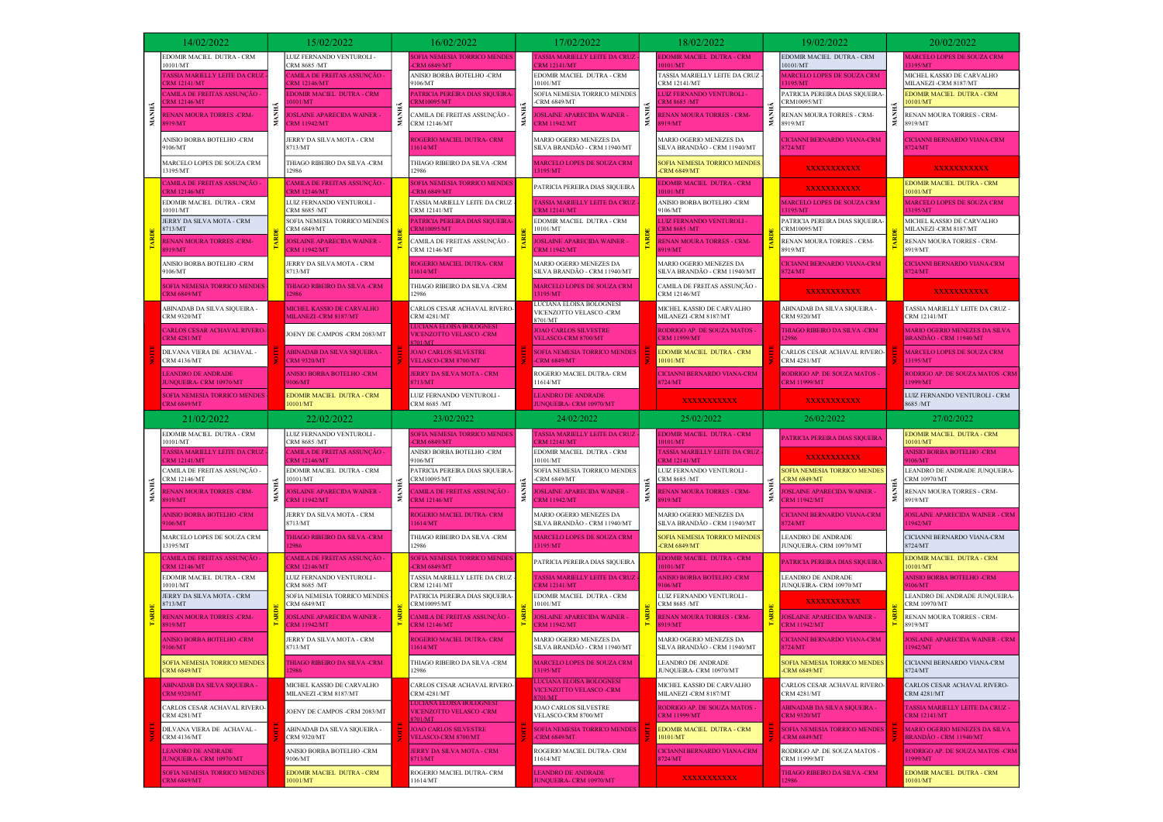|       | 14/02/2022                                                                                  |       | 15/02/2022                                                               |                                                                                                                                                           | 16/02/2022                                                               |                                                                                                                                                                                                                     | 17/02/2022                                                            |                                              | 18/02/2022                                                 |                    | 19/02/2022                                                                   |                                       | 20/02/2022                                                               |
|-------|---------------------------------------------------------------------------------------------|-------|--------------------------------------------------------------------------|-----------------------------------------------------------------------------------------------------------------------------------------------------------|--------------------------------------------------------------------------|---------------------------------------------------------------------------------------------------------------------------------------------------------------------------------------------------------------------|-----------------------------------------------------------------------|----------------------------------------------|------------------------------------------------------------|--------------------|------------------------------------------------------------------------------|---------------------------------------|--------------------------------------------------------------------------|
|       | EDOMIR MACIEL DUTRA - CRM<br>10101/MT                                                       |       | LUIZ FERNANDO VENTUROLI -<br>CRM 8685 /MT                                |                                                                                                                                                           | <b>OFIA NEMESIA TORRICO MENDES</b><br><b>ERM 6849/MT</b>                 |                                                                                                                                                                                                                     | ASSIA MARIELLY LEITE DA CRUZ<br>RM 12141/MT                           |                                              | EDOMIR MACIEL DUTRA - CRM<br>101/MT                        |                    | EDOMIR MACIEL DUTRA - CRM<br>0101/MT                                         |                                       | MARCELO LOPES DE SOUZA CRM<br>195/MT                                     |
|       | ASSIA MARIELLY LEITE DA CRUZ<br><b>RM 12141/MT</b>                                          |       | CAMILA DE FREITAS ASSUNÇÃO -<br>ERM 12146/MT                             |                                                                                                                                                           | ANISIO BORBA BOTELHO -CRM<br>9106/MT                                     | 10101/MT<br>-CRM 6849/MT                                                                                                                                                                                            | EDOMIR MACIEL DUTRA - CRM                                             |                                              | TASSIA MARIELLY LEITE DA CRUZ<br>CRM 12141/MT              |                    | MARCELO LOPES DE SOUZA CRM<br>3195/MT                                        |                                       | MICHEL KASSIO DE CARVALHO<br>MILANEZI -CRM 8187/MT                       |
|       | AMILA DE FREITAS ASSUNÇÃO<br>RM 12146/MT                                                    |       | <b>EDOMIR MACIEL DUTRA - CRM</b><br>101/MT                               |                                                                                                                                                           | 'ATRICIA PEREIRA DIAS SIQUEIRA<br>RM10095/MT                             |                                                                                                                                                                                                                     | SOFIA NEMESIA TORRICO MENDES                                          | MANI                                         | LUIZ FERNANDO VENTUROLI -<br>RM 8685 /MT                   | 冨                  | PATRICIA PEREIRA DIAS SIQUEIRA<br>CRM10095/MT                                | MANHÂ                                 | EDOMIR MACIEL DUTRA - CRM<br>0101/MT                                     |
| MANHÃ | <b>RENAN MOURA TORRES -CRM-</b><br>919/MT                                                   | MANHÃ | <b>OSLAINE APARECIDA WAINER -</b><br><b>RM 11942/MT</b>                  |                                                                                                                                                           | :AMILA DE FREITAS ASSUNÇÃO -<br>CRM 12146/MT                             | Z.                                                                                                                                                                                                                  | <b>OSLAINE APARECIDA WAINER -</b><br><b>CRM 11942/MT</b>              |                                              | <b>RENAN MOURA TORRES - CRM-</b><br>919/MT                 |                    | RENAN MOURA TORRES - CRM-<br>8919/MT                                         |                                       | RENAN MOURA TORRES - CRM-<br>8919/MT                                     |
|       | ANISIO BORBA BOTELHO -CRM<br>106/MT                                                         |       | JERRY DA SILVA MOTA - CRM<br>8713/MT                                     |                                                                                                                                                           | <b>ROGERIO MACIEL DUTRA- CRM</b><br>1614/MT                              |                                                                                                                                                                                                                     | MARIO OGERIO MENEZES DA<br>SILVA BRANDÃO - CRM 11940/MT               |                                              | MARIO OGERIO MENEZES DA<br>SILVA BRANDÃO - CRM 11940/MT    |                    | <b>ICIANNI BERNARDO VIANA-CRM</b><br>724/MT                                  |                                       | ICIANNI BERNARDO VIANA-CRM<br>724/MT                                     |
|       | MARCELO LOPES DE SOUZA CRM<br>13195/MT                                                      |       | THIAGO RIBEIRO DA SILVA -CRM<br>12986                                    |                                                                                                                                                           | THIAGO RIBEIRO DA SILVA -CRM<br>12986                                    |                                                                                                                                                                                                                     | MARCELO LOPES DE SOUZA CRM<br>3195/MT                                 |                                              | SOFIA NEMESIA TORRICO MENDES<br><b>-CRM 6849/MT</b>        |                    | <b>XXXXXXXXXXX</b>                                                           |                                       | XXXXXXXXXX                                                               |
|       | AMILA DE FREITAS ASSUNÇÃO -<br>RM 12146/MT                                                  |       | CAMILA DE FREITAS ASSUNÇÃO <sub>:</sub><br><b>CRM 12146/MT</b>           | SOFIA NEMESIA TORRICO MENDES<br><b>CRM 6849/MT</b><br>TASSIA MARIELLY LEITE DA CRUZ<br>CRM 12141/MT<br><b>ATRICIA PEREIRA DIAS SIQUEIRA</b><br>RM10095/MT |                                                                          | PATRICIA PEREIRA DIAS SIQUEIRA                                                                                                                                                                                      |                                                                       | <b>EDOMIR MACIEL DUTRA - CRM</b><br>10101/MT |                                                            | <b>XXXXXXXXXXX</b> |                                                                              | EDOMIR MACIEL DUTRA - CRM<br>10101/MT |                                                                          |
|       | EDOMIR MACIEL DUTRA - CRM<br>10101/MT                                                       |       | LUIZ FERNANDO VENTUROLI -<br>CRM 8685 /MT                                |                                                                                                                                                           |                                                                          | 'ASSIA MARIELLY LEITE DA CRUZ<br><b>RM 12141/MT</b><br>EDOMIR MACIEL DUTRA - CRM<br>10101/MT<br><b>OSLAINE APARECIDA WAINER -</b><br><b>CRM 11942/MT</b><br>MARIO OGERIO MENEZES DA<br>SILVA BRANDÃO - CRM 11940/MT |                                                                       |                                              | ANISIO BORBA BOTELHO -CRM<br>9106/MT                       |                    | MARCELO LOPES DE SOUZA CRM<br>3195/MT                                        |                                       | MARCELO LOPES DE SOUZA CRM<br>13195/MT                                   |
|       | JERRY DA SILVA MOTA - CRM<br>8713/MT                                                        |       | SOFIA NEMESIA TORRICO MENDES<br><b>CRM 6849/MT</b>                       |                                                                                                                                                           |                                                                          |                                                                                                                                                                                                                     |                                                                       |                                              | LUIZ FERNANDO VENTUROLI -<br><b>CRM 8685 /MT</b>           |                    | PATRICIA PEREIRA DIAS SIQUEIRA-<br>CRM10095/MT                               |                                       | MICHEL KASSIO DE CARVALHO<br>MILANEZI-CRM 8187/MT                        |
|       | <b>RENAN MOURA TORRES -CRM-</b><br>919/MT                                                   |       | <b>JOSLAINE APARECIDA WAINER -</b><br><b>CRM 11942/MT</b>                |                                                                                                                                                           | CAMILA DE FREITAS ASSUNÇÃO -<br><b>CRM 12146/MT</b>                      |                                                                                                                                                                                                                     |                                                                       |                                              | RENAN MOURA TORRES - CRM-<br>8919/MT                       |                    | RENAN MOURA TORRES - CRM-<br>8919/MT                                         |                                       | RENAN MOURA TORRES - CRM-<br>8919/MT                                     |
|       | ANISIO BORBA BOTELHO -CRM<br>9106/MT                                                        |       | JERRY DA SILVA MOTA - CRM<br>8713/MT                                     |                                                                                                                                                           | ROGERIO MACIEL DUTRA- CRM<br>1614/MT                                     |                                                                                                                                                                                                                     | MARIO OGERIO MENEZES DA<br>SILVA BRANDÃO - CRM 11940/MT               |                                              | CICIANNI BERNARDO VIANA-CRM<br>724/MT                      |                    | <b>CICIANNI BERNARDO VIANA-CRM</b><br><b>3724/MT</b>                         |                                       |                                                                          |
|       | <b>OFIA NEMESIA TORRICO MENDES</b><br><b>RM 6849/MT</b>                                     |       | THIAGO RIBEIRO DA SILVA -CRM<br>2986                                     |                                                                                                                                                           | THIAGO RIBEIRO DA SILVA -CRM<br>12986                                    |                                                                                                                                                                                                                     | MARCELO LOPES DE SOUZA CRM<br>3195/MT                                 |                                              | CAMILA DE FREITAS ASSUNÇÃO -<br>CRM 12146/MT               |                    | <b>XXXXXXXXXXX</b>                                                           |                                       | XXXXXXXXXX                                                               |
|       | ABINADAB DA SILVA SIQUEIRA -<br><b>CRM 9320/MT</b>                                          |       | <b>MICHEL KASSIO DE CARVALHO</b><br>MILANEZI-CRM 8187/MT                 |                                                                                                                                                           | CARLOS CESAR ACHAVAL RIVERO-<br><b>CRM 4281/MT</b>                       |                                                                                                                                                                                                                     | LUCIANA ELOISA BOLOGNESI<br>VICENZOTTO VELASCO -CRM<br>8701/MT        |                                              | MICHEL KASSIO DE CARVALHO<br>MILANEZI -CRM 8187/MT         |                    | ABINADAB DA SILVA SIQUEIRA -<br><b>CRM 9320/MT</b>                           |                                       | TASSIA MARIELLY LEITE DA CRUZ -<br><b>CRM 12141/MT</b>                   |
|       | <b>CARLOS CESAR ACHAVAL RIVERO</b><br><b>RM 4281/MT</b>                                     |       | JOENY DE CAMPOS -CRM 2083/MT                                             |                                                                                                                                                           | <b>VICENZOTTO VELASCO-CRM</b><br>701/MT                                  |                                                                                                                                                                                                                     | <b>JOAO CARLOS SILVESTRE</b><br><b>VELASCO-CRM 8700/MT</b>            |                                              | RODRIGO AP. DE SOUZA MATOS<br><b>CRM 11999/MT</b>          |                    | THIAGO RIBEIRO DA SILVA -CRM                                                 |                                       | <b>MARIO OGERIO MENEZES DA SILVA</b><br>BRANDÃO - CRM 11940/MT           |
|       | DILVANA VIERA DE ACHAVAL -<br><b>CRM 4136/MT</b>                                            |       | <b>ABINADAB DA SILVA SIQUEIRA -</b><br><b>CRM 9320/MT</b>                |                                                                                                                                                           | <b>JOAO CARLOS SILVESTRE</b><br>VELASCO-CRM 8700/MT                      |                                                                                                                                                                                                                     | <b>SOFIA NEMESIA TORRICO MENDES</b><br>-CRM $6849/MT$                 |                                              | EDOMIR MACIEL DUTRA - CRM<br>10101/MT                      |                    | CARLOS CESAR ACHAVAL RIVERO-<br>CRM 4281/MT                                  |                                       | <b>MARCELO LOPES DE SOUZA CRM</b><br>13195/MT                            |
|       | <b>LEANDRO DE ANDRADE</b><br><b>JUNQUEIRA- CRM 10970/MT</b>                                 |       | <b>ANISIO BORBA BOTELHO -CRM</b><br>9106/MT                              |                                                                                                                                                           | JERRY DA SILVA MOTA - CRM<br>8713/MT                                     | ROGERIO MACIEL DUTRA- CRM<br>11614/MT<br><b>LEANDRO DE ANDRADE</b><br><b>JUNQUEIRA- CRM 10970/MT</b>                                                                                                                | <b>CICIANNI BERNARDO VIANA-CRM</b><br>8724/MT                         |                                              | <b>RODRIGO AP. DE SOUZA MATOS -</b><br><b>CRM 11999/MT</b> |                    | RODRIGO AP. DE SOUZA MATOS -CRM<br>11999/MT                                  |                                       |                                                                          |
|       | <b>SOFIA NEMESIA TORRICO MENDES</b><br><b>CRM 6849/MT</b>                                   |       | EDOMIR MACIEL DUTRA - CRM<br>10101/MT                                    |                                                                                                                                                           | LUIZ FERNANDO VENTUROLI -<br>CRM 8685 /MT                                |                                                                                                                                                                                                                     |                                                                       |                                              | XXXXXXXXXX                                                 |                    | <b>XXXXXXXXXXX</b>                                                           |                                       | LUIZ FERNANDO VENTUROLI - CRM<br>8685 /MT                                |
|       |                                                                                             |       |                                                                          |                                                                                                                                                           |                                                                          |                                                                                                                                                                                                                     |                                                                       |                                              |                                                            |                    |                                                                              |                                       |                                                                          |
|       | 21/02/2022                                                                                  |       | 22/02/2022                                                               |                                                                                                                                                           | 23/02/2022                                                               |                                                                                                                                                                                                                     | 24/02/2022                                                            |                                              | 25/02/2022                                                 |                    | 26/02/2022                                                                   |                                       | 27/02/2022                                                               |
|       | EDOMIR MACIEL DUTRA - CRM<br>10101/MT                                                       |       | LUIZ FERNANDO VENTUROLI -<br>CRM 8685 /MT                                |                                                                                                                                                           | SOFIA NEMESIA TORRICO MENDES<br><b>CRM 6849/MT</b>                       |                                                                                                                                                                                                                     | <b>TASSIA MARIELLY LEITE DA CRUZ</b><br><b>RM 12141/MT</b>            |                                              | <b>EDOMIR MACIEL DUTRA - CRM</b><br>0101/MT                |                    | <b>ATRICIA PEREIRA DIAS SIQUEIRA</b>                                         |                                       | EDOMIR MACIEL DUTRA - CRM<br>0101/MT                                     |
|       | ASSIA MARIELLY LEITE DA CRUZ<br>RM 12141/MT                                                 |       | CAMILA DE FREITAS ASSUNÇÃO -<br>ERM 12146/MT                             |                                                                                                                                                           | ANISIO BORBA BOTELHO -CRM<br>9106/MT                                     |                                                                                                                                                                                                                     | EDOMIR MACIEL DUTRA - CRM<br>10101/MT                                 |                                              | ASSIA MARIELLY LEITE DA CRUZ<br>RM 12141/MT                |                    | <b>XXXXXXXXXXX</b>                                                           |                                       | <b>NISIO BORBA BOTELHO -CRM</b><br>106/MT                                |
|       | CAMILA DE FREITAS ASSUNÇÃO -<br>CRM 12146/MT                                                |       | EDOMIR MACIEL DUTRA - CRM<br>10101/MT                                    |                                                                                                                                                           | PATRICIA PEREIRA DIAS SIQUEIRA-<br>CRM10095/MT                           |                                                                                                                                                                                                                     | SOFIA NEMESIA TORRICO MENDES<br>-CRM 6849/MT                          |                                              | LUIZ FERNANDO VENTUROLI -<br>CRM 8685 /MT                  |                    | SOFIA NEMESIA TORRICO MENDES<br><b>CRM 6849/MT</b>                           |                                       | LEANDRO DE ANDRADE JUNQUEIRA-<br>CRM 10970/MT                            |
| MANHÃ | <b>ENAN MOURA TORRES -CRM-</b><br>919/MT                                                    |       | <b>DSLAINE APARECIDA WAINER</b><br><b>RM 11942/MT</b>                    | MANE                                                                                                                                                      | AMILA DE FREITAS ASSUNÇÃO -<br><b>RM 12146/MT</b>                        | É.                                                                                                                                                                                                                  | <b>OSLAINE APARECIDA WAINER -</b><br><b>CRM 11942/MT</b>              | MANH                                         | <b>ENAN MOURA TORRES - CRM-</b><br>919/MT                  |                    | OSLAINE APARECIDA WAINER -<br><b>CRM 11942/MT</b>                            |                                       | RENAN MOURA TORRES - CRM-<br>8919/MT                                     |
|       | <b>NISIO BORBA BOTELHO -CRM</b><br>106/MT                                                   |       | JERRY DA SILVA MOTA - CRM<br>8713/MT                                     |                                                                                                                                                           | ROGERIO MACIEL DUTRA- CRM<br>1614/MT                                     |                                                                                                                                                                                                                     | MARIO OGERIO MENEZES DA<br>SILVA BRANDÃO - CRM 11940/MT               |                                              | MARIO OGERIO MENEZES DA<br>SILVA BRANDÃO - CRM 11940/MT    |                    | <b>ICIANNI BERNARDO VIANA-CRM</b><br>724/MT                                  |                                       | <b>JOSLAINE APARECIDA WAINER - CRM</b><br>1942/MT                        |
|       | MARCELO LOPES DE SOUZA CRM<br>13195/MT                                                      |       | THIAGO RIBEIRO DA SILVA -CRM                                             |                                                                                                                                                           | THIAGO RIBEIRO DA SILVA -CRM<br>12986                                    |                                                                                                                                                                                                                     | AARCELO LOPES DE SOUZA CRM<br>3195/MT                                 |                                              | SOFIA NEMESIA TORRICO MENDES<br><b>CRM 6849/MT</b>         |                    | <b>EANDRO DE ANDRADE</b><br>UNQUEIRA- CRM 10970/MT                           |                                       | CICIANNI BERNARDO VIANA-CRM<br>8724/MT                                   |
|       | AMILA DE FREITAS ASSUNÇÃO :<br><b>RM 12146/MT</b>                                           |       | CAMILA DE FREITAS ASSUNÇÃO ·<br><b>ERM 12146/MT</b>                      |                                                                                                                                                           | SOFIA NEMESIA TORRICO MENDES<br><b>CRM 6849/MT</b>                       |                                                                                                                                                                                                                     | PATRICIA PEREIRA DIAS SIQUEIRA                                        |                                              | <b>EDOMIR MACIEL DUTRA - CRM</b><br>10101/MT               |                    | <b>PATRICIA PEREIRA DIAS SIQUEIRA</b>                                        |                                       | EDOMIR MACIEL DUTRA - CRM<br>10101/MT                                    |
|       | EDOMIR MACIEL DUTRA - CRM<br>10101/MT                                                       |       | LUIZ FERNANDO VENTUROLI -<br>CRM 8685 /MT                                |                                                                                                                                                           | TASSIA MARIELLY LEITE DA CRUZ<br><b>CRM 12141/MT</b>                     |                                                                                                                                                                                                                     | 'ASSIA MARIELLY LEITE DA CRUZ<br><b>RM 12141/MT</b>                   |                                              | <b>ANISIO BORBA BOTELHO -CRM</b><br>9106/MT                |                    | LEANDRO DE ANDRADE<br>JUNQUEIRA- CRM 10970/MT                                |                                       | <b>ANISIO BORBA BOTELHO -CRM</b><br>9106/MT                              |
|       | JERRY DA SILVA MOTA - CRM<br>8713/MT                                                        |       | SOFIA NEMESIA TORRICO MENDES<br><b>CRM 6849/MT</b>                       |                                                                                                                                                           | PATRICIA PEREIRA DIAS SIQUEIRA-<br>CRM10095/MT                           |                                                                                                                                                                                                                     | EDOMIR MACIEL DUTRA - CRM<br>10101/MT                                 |                                              | LUIZ FERNANDO VENTUROLI -<br>CRM 8685 /MT                  |                    | <b>XXXXXXXXXXX</b>                                                           |                                       | LEANDRO DE ANDRADE JUNQUEIRA-<br>CRM 10970/MT                            |
|       | <b>RENAN MOURA TORRES -CRM-</b><br>919/MT                                                   |       | <b>JOSLAINE APARECIDA WAINER</b><br><b>CRM 11942/MT</b>                  |                                                                                                                                                           | CAMILA DE FREITAS ASSUNÇÃO -<br><b>RM 12146/MT</b>                       |                                                                                                                                                                                                                     | <b>OSLAINE APARECIDA WAINER -</b><br><b>RM 11942/MT</b>               |                                              | RENAN MOURA TORRES - CRM-<br>3919/MT                       |                    | <b>JOSLAINE APARECIDA WAINER -</b><br><b>CRM 11942/MT</b>                    |                                       | RENAN MOURA TORRES - CRM-<br>8919/MT                                     |
|       | <b>ANISIO BORBA BOTELHO -CRM</b><br>9106/MT                                                 |       | JERRY DA SILVA MOTA - CRM<br>8713/MT                                     |                                                                                                                                                           | ROGERIO MACIEL DUTRA- CRM<br>11614/MT                                    |                                                                                                                                                                                                                     | MARIO OGERIO MENEZES DA<br>SILVA BRANDÃO - CRM 11940/MT               |                                              | MARIO OGERIO MENEZES DA<br>SILVA BRANDÃO - CRM 11940/MT    |                    | <b>CICIANNI BERNARDO VIANA-CRM</b><br>724/MT                                 |                                       | <b>JOSLAINE APARECIDA WAINER - CRM</b><br>11942/MT                       |
|       | <b>SOFIA NEMESIA TORRICO MENDES</b><br><b>CRM 6849/MT</b>                                   |       | THIAGO RIBEIRO DA SILVA -CRM<br>2986                                     |                                                                                                                                                           | THIAGO RIBEIRO DA SILVA -CRM<br>12986                                    |                                                                                                                                                                                                                     | <b>AARCELO LOPES DE SOUZA CRM</b><br>3195/MT                          |                                              | LEANDRO DE ANDRADE<br>JUNQUEIRA- CRM 10970/MT              |                    | SOFIA NEMESIA TORRICO MENDES<br><b>CRM 6849/MT</b>                           |                                       | CICIANNI BERNARDO VIANA-CRM<br>8724/MT                                   |
|       | <b>ABINADAB DA SILVA SIQUEIRA -</b><br><b>CRM 9320/MT</b>                                   |       | MICHEL KASSIO DE CARVALHO<br>MILANEZI-CRM 8187/MT                        |                                                                                                                                                           | CARLOS CESAR ACHAVAL RIVERO-<br><b>CRM 4281/MT</b>                       |                                                                                                                                                                                                                     | LUCIANA ELOISA BOLOGNESI<br><b>VICENZOTTO VELASCO -CRM</b><br>2701/MT |                                              | MICHEL KASSIO DE CARVALHO<br>MILANEZI-CRM 8187/MT          |                    | CARLOS CESAR ACHAVAL RIVERO-<br><b>CRM 4281/MT</b>                           |                                       | CARLOS CESAR ACHAVAL RIVERO-<br><b>CRM 4281/MT</b>                       |
|       | CARLOS CESAR ACHAVAL RIVERO-<br><b>CRM 4281/MT</b>                                          |       | JOENY DE CAMPOS -CRM 2083/MT                                             |                                                                                                                                                           | LUCIANA ELOISA BOLOGNESI<br><b>VICENZOTTO VELASCO-CRM</b><br>701/MT      |                                                                                                                                                                                                                     | JOAO CARLOS SILVESTRE<br>VELASCO-CRM 8700/MT                          |                                              | RODRIGO AP. DE SOUZA MATOS -<br><b>CRM 11999/MT</b>        |                    | <b>ABINADAB DA SILVA SIQUEIRA -</b><br><b>CRM 9320/MT</b>                    |                                       | TASSIA MARIELLY LEITE DA CRUZ -<br><b>CRM 12141/MT</b>                   |
|       | DILVANA VIERA DE ACHAVAL -<br><b>CRM 4136/MT</b>                                            |       | ABINADAB DA SILVA SIQUEIRA -<br><b>CRM 9320/MT</b>                       |                                                                                                                                                           | <b>JOAO CARLOS SILVESTRE</b><br><b>VELASCO-CRM 8700/MT</b>               |                                                                                                                                                                                                                     | <b>SOFIA NEMESIA TORRICO MENDES</b><br><b>CRM 6849/MT</b>             |                                              | EDOMIR MACIEL DUTRA - CRM<br>10101/MT                      |                    | <b>SOFIA NEMESIA TORRICO MENDES</b><br><b>CRM 6849/MT</b>                    |                                       | <b>MARIO OGERIO MENEZES DA SILVA</b><br>BRANDÃO - CRM 11940/MT           |
|       | <b>LEANDRO DE ANDRADE</b><br>JUNOUEIRA- CRM 10970/MT<br><b>SOFIA NEMESIA TORRICO MENDES</b> |       | ANISIO BORBA BOTELHO -CRM<br>9106/MT<br><b>EDOMIR MACIEL DUTRA - CRM</b> |                                                                                                                                                           | <b>JERRY DA SILVA MOTA - CRM</b><br>8713/MT<br>ROGERIO MACIEL DUTRA- CRM |                                                                                                                                                                                                                     | ROGERIO MACIEL DUTRA- CRM<br>11614/MT<br><b>LEANDRO DE ANDRADE</b>    |                                              | <b>CICIANNI BERNARDO VIANA-CRM</b><br>8724/MT              |                    | RODRIGO AP. DE SOUZA MATOS -<br>CRM 11999/MT<br>THIAGO RIBEIRO DA SILVA -CRM |                                       | RODRIGO AP. DE SOUZA MATOS -CRM<br>11999/MT<br>EDOMIR MACIEL DUTRA - CRM |